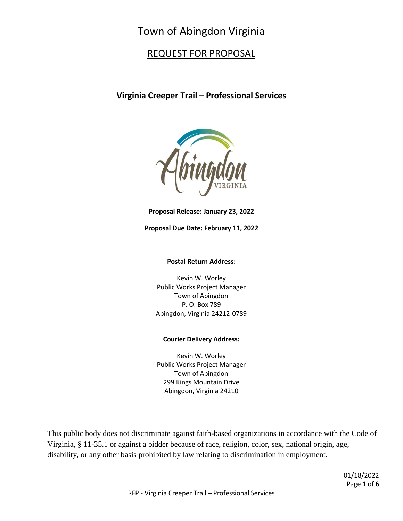# Town of Abingdon Virginia

## REQUEST FOR PROPOSAL

### **Virginia Creeper Trail – Professional Services**



**Proposal Release: January 23, 2022**

#### **Proposal Due Date: February 11, 2022**

#### **Postal Return Address:**

Kevin W. Worley Public Works Project Manager Town of Abingdon P. O. Box 789 Abingdon, Virginia 24212-0789

#### **Courier Delivery Address:**

Kevin W. Worley Public Works Project Manager Town of Abingdon 299 Kings Mountain Drive Abingdon, Virginia 24210

This public body does not discriminate against faith-based organizations in accordance with the Code of Virginia, § 11-35.1 or against a bidder because of race, religion, color, sex, national origin, age, disability, or any other basis prohibited by law relating to discrimination in employment.

> 01/18/2022 Page **1** of **6**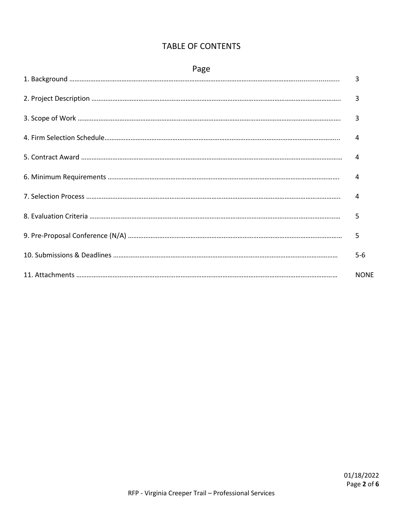| Page |                |  |  |
|------|----------------|--|--|
|      | $\overline{3}$ |  |  |
|      | $\overline{3}$ |  |  |
|      | 3              |  |  |
|      | $\overline{4}$ |  |  |
|      | $\overline{4}$ |  |  |
|      | $\overline{4}$ |  |  |
|      | 4              |  |  |
|      | 5              |  |  |
|      | 5              |  |  |
|      | $5-6$          |  |  |
|      | <b>NONE</b>    |  |  |

# TABLE OF CONTENTS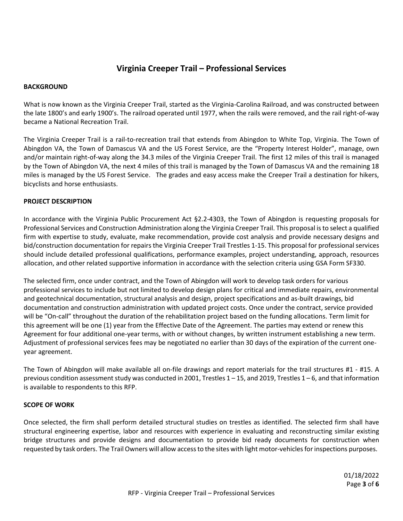### **Virginia Creeper Trail – Professional Services**

#### **BACKGROUND**

What is now known as the Virginia Creeper Trail, started as the Virginia-Carolina Railroad, and was constructed between the late 1800's and early 1900's. The railroad operated until 1977, when the rails were removed, and the rail right-of-way became a National Recreation Trail.

The Virginia Creeper Trail is a rail-to-recreation trail that extends from Abingdon to White Top, Virginia. The Town of Abingdon VA, the Town of Damascus VA and the US Forest Service, are the "Property Interest Holder", manage, own and/or maintain right-of-way along the 34.3 miles of the Virginia Creeper Trail. The first 12 miles of this trail is managed by the Town of Abingdon VA, the next 4 miles of this trail is managed by the Town of Damascus VA and the remaining 18 miles is managed by the US Forest Service. The grades and easy access make the Creeper Trail a destination for hikers, bicyclists and horse enthusiasts.

#### **PROJECT DESCRIPTION**

In accordance with the Virginia Public Procurement Act §2.2-4303, the Town of Abingdon is requesting proposals for Professional Services and Construction Administration along the Virginia Creeper Trail. This proposal is to select a qualified firm with expertise to study, evaluate, make recommendation, provide cost analysis and provide necessary designs and bid/construction documentation for repairs the Virginia Creeper Trail Trestles 1-15. This proposal for professional services should include detailed professional qualifications, performance examples, project understanding, approach, resources allocation, and other related supportive information in accordance with the selection criteria using GSA Form SF330.

The selected firm, once under contract, and the Town of Abingdon will work to develop task orders for various professional services to include but not limited to develop design plans for critical and immediate repairs, environmental and geotechnical documentation, structural analysis and design, project specifications and as-built drawings, bid documentation and construction administration with updated project costs. Once under the contract, service provided will be "On-call" throughout the duration of the rehabilitation project based on the funding allocations. Term limit for this agreement will be one (1) year from the Effective Date of the Agreement. The parties may extend or renew this Agreement for four additional one-year terms, with or without changes, by written instrument establishing a new term. Adjustment of professional services fees may be negotiated no earlier than 30 days of the expiration of the current oneyear agreement.

The Town of Abingdon will make available all on-file drawings and report materials for the trail structures #1 - #15. A previous condition assessment study was conducted in 2001, Trestles  $1-15$ , and 2019, Trestles  $1-6$ , and that information is available to respondents to this RFP.

#### **SCOPE OF WORK**

Once selected, the firm shall perform detailed structural studies on trestles as identified. The selected firm shall have structural engineering expertise, labor and resources with experience in evaluating and reconstructing similar existing bridge structures and provide designs and documentation to provide bid ready documents for construction when requested by task orders. The Trail Owners will allow access to the sites with light motor-vehicles for inspections purposes.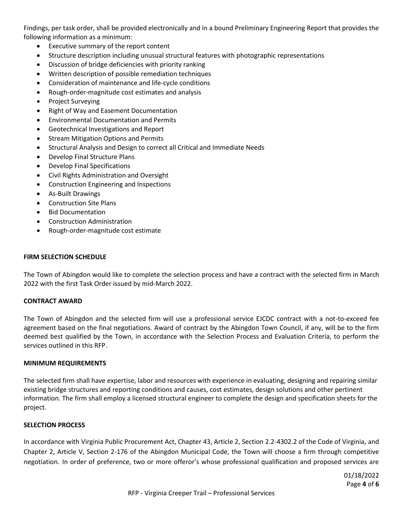Findings, per task order, shall be provided electronically and in a bound Preliminary Engineering Report that provides the following information as a minimum:

- Executive summary of the report content
- Structure description including unusual structural features with photographic representations
- Discussion of bridge deficiencies with priority ranking
- Written description of possible remediation techniques
- Consideration of maintenance and life-cycle conditions
- Rough-order-magnitude cost estimates and analysis
- Project Surveying
- Right of Way and Easement Documentation
- Environmental Documentation and Permits
- Geotechnical Investigations and Report
- Stream Mitigation Options and Permits
- Structural Analysis and Design to correct all Critical and Immediate Needs
- Develop Final Structure Plans
- Develop Final Specifications
- Civil Rights Administration and Oversight
- Construction Engineering and Inspections
- As-Built Drawings
- **•** Construction Site Plans
- Bid Documentation
- Construction Administration
- Rough-order-magnitude cost estimate

#### **FIRM SELECTION SCHEDULE**

The Town of Abingdon would like to complete the selection process and have a contract with the selected firm in March 2022 with the first Task Order issued by mid-March 2022.

#### **CONTRACT AWARD**

The Town of Abingdon and the selected firm will use a professional service EJCDC contract with a not-to-exceed fee agreement based on the final negotiations. Award of contract by the Abingdon Town Council, if any, will be to the firm deemed best qualified by the Town, in accordance with the Selection Process and Evaluation Criteria, to perform the services outlined in this RFP.

#### **MINIMUM REQUIREMENTS**

The selected firm shall have expertise, labor and resources with experience in evaluating, designing and repairing similar existing bridge structures and reporting conditions and causes, cost estimates, design solutions and other pertinent information. The firm shall employ a licensed structural engineer to complete the design and specification sheets for the project.

#### **SELECTION PROCESS**

In accordance with Virginia Public Procurement Act, Chapter 43, Article 2, Section 2.2-4302.2 of the Code of Virginia, and Chapter 2, Article V, Section 2-176 of the Abingdon Municipal Code, the Town will choose a firm through competitive negotiation. In order of preference, two or more offeror's whose professional qualification and proposed services are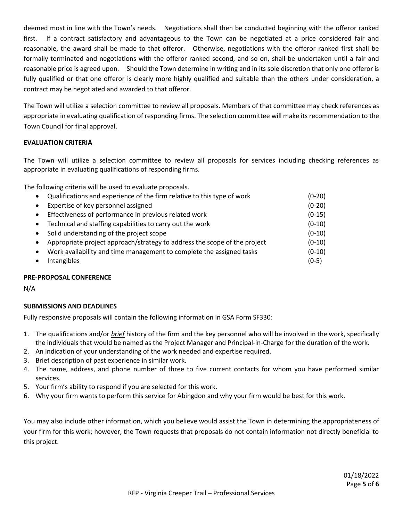deemed most in line with the Town's needs. Negotiations shall then be conducted beginning with the offeror ranked first. If a contract satisfactory and advantageous to the Town can be negotiated at a price considered fair and reasonable, the award shall be made to that offeror. Otherwise, negotiations with the offeror ranked first shall be formally terminated and negotiations with the offeror ranked second, and so on, shall be undertaken until a fair and reasonable price is agreed upon. Should the Town determine in writing and in its sole discretion that only one offeror is fully qualified or that one offeror is clearly more highly qualified and suitable than the others under consideration, a contract may be negotiated and awarded to that offeror.

The Town will utilize a selection committee to review all proposals. Members of that committee may check references as appropriate in evaluating qualification of responding firms. The selection committee will make its recommendation to the Town Council for final approval.

#### **EVALUATION CRITERIA**

The Town will utilize a selection committee to review all proposals for services including checking references as appropriate in evaluating qualifications of responding firms.

The following criteria will be used to evaluate proposals.

| $\bullet$ | Qualifications and experience of the firm relative to this type of work   | $(0-20)$ |
|-----------|---------------------------------------------------------------------------|----------|
| $\bullet$ | Expertise of key personnel assigned                                       | $(0-20)$ |
| $\bullet$ | Effectiveness of performance in previous related work                     | $(0-15)$ |
| $\bullet$ | Technical and staffing capabilities to carry out the work                 | $(0-10)$ |
| $\bullet$ | Solid understanding of the project scope                                  | $(0-10)$ |
| $\bullet$ | Appropriate project approach/strategy to address the scope of the project | $(0-10)$ |
| $\bullet$ | Work availability and time management to complete the assigned tasks      | $(0-10)$ |
|           | Intangibles                                                               | $(0-5)$  |

#### **PRE-PROPOSAL CONFERENCE**

N/A

#### **SUBMISSIONS AND DEADLINES**

Fully responsive proposals will contain the following information in GSA Form SF330:

- 1. The qualifications and/or *brief* history of the firm and the key personnel who will be involved in the work, specifically the individuals that would be named as the Project Manager and Principal-in-Charge for the duration of the work.
- 2. An indication of your understanding of the work needed and expertise required.
- 3. Brief description of past experience in similar work.
- 4. The name, address, and phone number of three to five current contacts for whom you have performed similar services.
- 5. Your firm's ability to respond if you are selected for this work.
- 6. Why your firm wants to perform this service for Abingdon and why your firm would be best for this work.

You may also include other information, which you believe would assist the Town in determining the appropriateness of your firm for this work; however, the Town requests that proposals do not contain information not directly beneficial to this project.